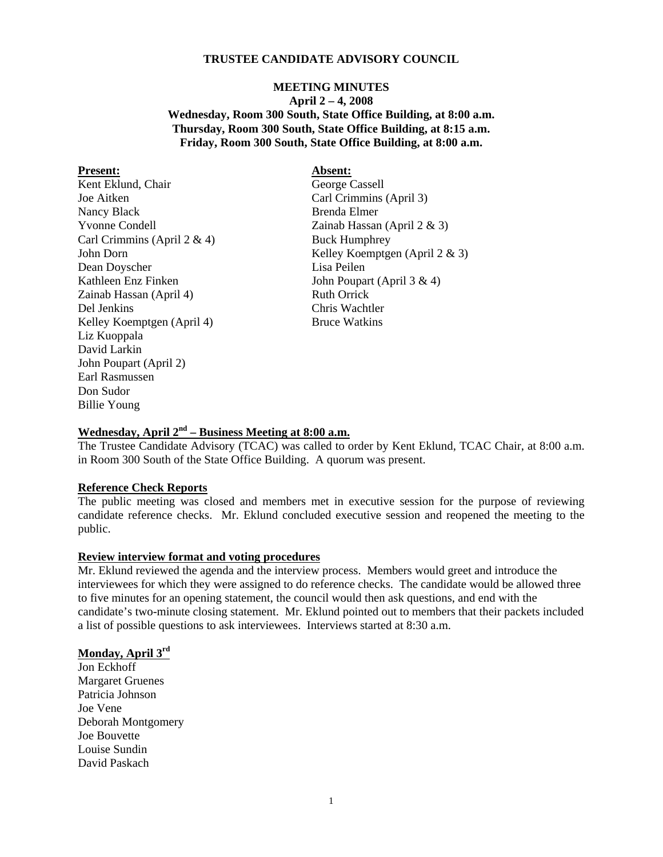## **TRUSTEE CANDIDATE ADVISORY COUNCIL**

# **MEETING MINUTES April 2 – 4, 2008 Wednesday, Room 300 South, State Office Building, at 8:00 a.m. Thursday, Room 300 South, State Office Building, at 8:15 a.m. Friday, Room 300 South, State Office Building, at 8:00 a.m.**

#### Present: Absent:

Kent Eklund, Chair George Cassell Joe Aitken Carl Crimmins (April 3) Nancy Black Brenda Elmer Yvonne Condell Zainab Hassan (April 2 & 3) Carl Crimmins (April 2 & 4) Buck Humphrey Dean Doyscher Lisa Peilen Kathleen Enz Finken John Poupart (April 3 & 4) Zainab Hassan (April 4) Ruth Orrick Del Jenkins Chris Wachtler Kelley Koemptgen (April 4) Bruce Watkins Liz Kuoppala David Larkin John Poupart (April 2) Earl Rasmussen Don Sudor Billie Young

John Dorn Kelley Koemptgen (April 2 & 3)

# **Wednesday, April 2nd – Business Meeting at 8:00 a.m.**

The Trustee Candidate Advisory (TCAC) was called to order by Kent Eklund, TCAC Chair, at 8:00 a.m. in Room 300 South of the State Office Building. A quorum was present.

### **Reference Check Reports**

The public meeting was closed and members met in executive session for the purpose of reviewing candidate reference checks. Mr. Eklund concluded executive session and reopened the meeting to the public.

#### **Review interview format and voting procedures**

Mr. Eklund reviewed the agenda and the interview process. Members would greet and introduce the interviewees for which they were assigned to do reference checks. The candidate would be allowed three to five minutes for an opening statement, the council would then ask questions, and end with the candidate's two-minute closing statement. Mr. Eklund pointed out to members that their packets included a list of possible questions to ask interviewees. Interviews started at 8:30 a.m.

#### **Monday, April 3rd**

Jon Eckhoff Margaret Gruenes Patricia Johnson Joe Vene Deborah Montgomery Joe Bouvette Louise Sundin David Paskach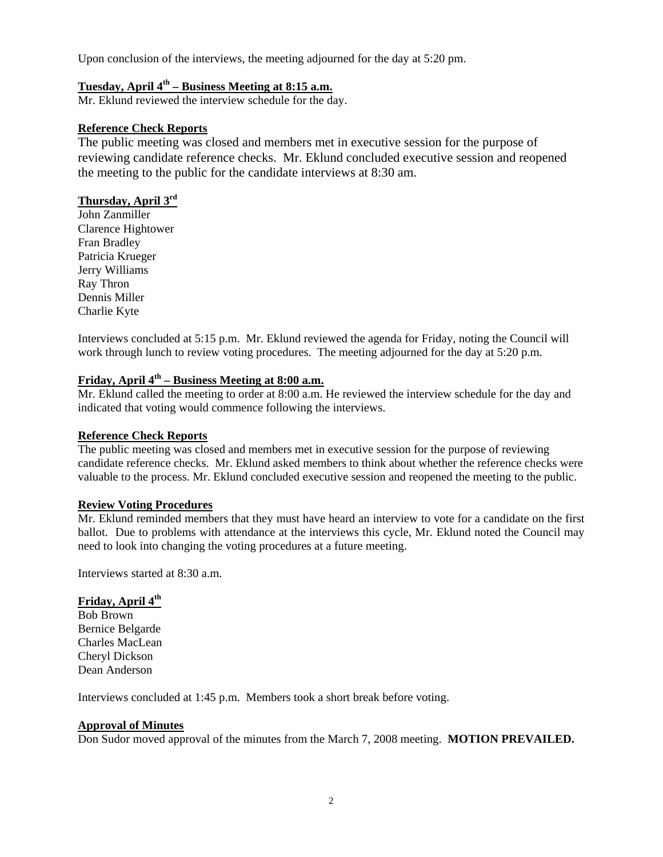Upon conclusion of the interviews, the meeting adjourned for the day at 5:20 pm.

# **Tuesday, April 4th – Business Meeting at 8:15 a.m.**

Mr. Eklund reviewed the interview schedule for the day.

### **Reference Check Reports**

The public meeting was closed and members met in executive session for the purpose of reviewing candidate reference checks. Mr. Eklund concluded executive session and reopened the meeting to the public for the candidate interviews at 8:30 am.

# **Thursday, April 3rd**

John Zanmiller Clarence Hightower Fran Bradley Patricia Krueger Jerry Williams Ray Thron Dennis Miller Charlie Kyte

Interviews concluded at 5:15 p.m. Mr. Eklund reviewed the agenda for Friday, noting the Council will work through lunch to review voting procedures. The meeting adjourned for the day at 5:20 p.m.

# **Friday, April 4th – Business Meeting at 8:00 a.m.**

Mr. Eklund called the meeting to order at 8:00 a.m. He reviewed the interview schedule for the day and indicated that voting would commence following the interviews.

#### **Reference Check Reports**

The public meeting was closed and members met in executive session for the purpose of reviewing candidate reference checks. Mr. Eklund asked members to think about whether the reference checks were valuable to the process. Mr. Eklund concluded executive session and reopened the meeting to the public.

#### **Review Voting Procedures**

Mr. Eklund reminded members that they must have heard an interview to vote for a candidate on the first ballot. Due to problems with attendance at the interviews this cycle, Mr. Eklund noted the Council may need to look into changing the voting procedures at a future meeting.

Interviews started at 8:30 a.m.

## **Friday, April 4th**

Bob Brown Bernice Belgarde Charles MacLean Cheryl Dickson Dean Anderson

Interviews concluded at 1:45 p.m. Members took a short break before voting.

## **Approval of Minutes**

Don Sudor moved approval of the minutes from the March 7, 2008 meeting. **MOTION PREVAILED.**